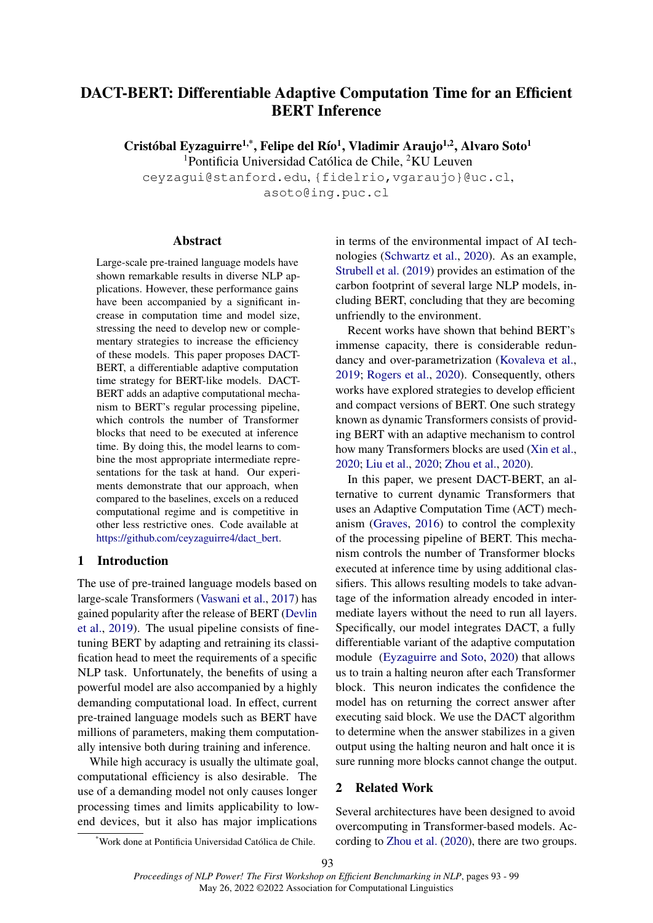# DACT-BERT: Differentiable Adaptive Computation Time for an Efficient BERT Inference

Cristóbal Eyzaguirre<sup>1,\*</sup>, Felipe del Río<sup>1</sup>, Vladimir Araujo<sup>1,2</sup>, Alvaro Soto<sup>1</sup>

<sup>1</sup>Pontificia Universidad Católica de Chile, <sup>2</sup>KU Leuven

ceyzagui@stanford.edu, {fidelrio,vgaraujo}@uc.cl,

asoto@ing.puc.cl

#### Abstract

Large-scale pre-trained language models have shown remarkable results in diverse NLP applications. However, these performance gains have been accompanied by a significant increase in computation time and model size, stressing the need to develop new or complementary strategies to increase the efficiency of these models. This paper proposes DACT-BERT, a differentiable adaptive computation time strategy for BERT-like models. DACT-BERT adds an adaptive computational mechanism to BERT's regular processing pipeline, which controls the number of Transformer blocks that need to be executed at inference time. By doing this, the model learns to combine the most appropriate intermediate representations for the task at hand. Our experiments demonstrate that our approach, when compared to the baselines, excels on a reduced computational regime and is competitive in other less restrictive ones. Code available at [https://github.com/ceyzaguirre4/dact\\_bert.](https://github.com/ceyzaguirre4/dact_bert)

# 1 Introduction

The use of pre-trained language models based on large-scale Transformers [\(Vaswani et al.,](#page-5-0) [2017\)](#page-5-0) has gained popularity after the release of BERT [\(Devlin](#page-5-1) [et al.,](#page-5-1) [2019\)](#page-5-1). The usual pipeline consists of finetuning BERT by adapting and retraining its classification head to meet the requirements of a specific NLP task. Unfortunately, the benefits of using a powerful model are also accompanied by a highly demanding computational load. In effect, current pre-trained language models such as BERT have millions of parameters, making them computationally intensive both during training and inference.

While high accuracy is usually the ultimate goal, computational efficiency is also desirable. The use of a demanding model not only causes longer processing times and limits applicability to lowend devices, but it also has major implications

in terms of the environmental impact of AI technologies [\(Schwartz et al.,](#page-5-2) [2020\)](#page-5-2). As an example, [Strubell et al.](#page-5-3) [\(2019\)](#page-5-3) provides an estimation of the carbon footprint of several large NLP models, including BERT, concluding that they are becoming unfriendly to the environment.

Recent works have shown that behind BERT's immense capacity, there is considerable redundancy and over-parametrization [\(Kovaleva et al.,](#page-5-4) [2019;](#page-5-4) [Rogers et al.,](#page-5-5) [2020\)](#page-5-5). Consequently, others works have explored strategies to develop efficient and compact versions of BERT. One such strategy known as dynamic Transformers consists of providing BERT with an adaptive mechanism to control how many Transformers blocks are used [\(Xin et al.,](#page-6-0) [2020;](#page-6-0) [Liu et al.,](#page-5-6) [2020;](#page-5-6) [Zhou et al.,](#page-6-1) [2020\)](#page-6-1).

In this paper, we present DACT-BERT, an alternative to current dynamic Transformers that uses an Adaptive Computation Time (ACT) mechanism [\(Graves,](#page-5-7) [2016\)](#page-5-7) to control the complexity of the processing pipeline of BERT. This mechanism controls the number of Transformer blocks executed at inference time by using additional classifiers. This allows resulting models to take advantage of the information already encoded in intermediate layers without the need to run all layers. Specifically, our model integrates DACT, a fully differentiable variant of the adaptive computation module [\(Eyzaguirre and Soto,](#page-5-8) [2020\)](#page-5-8) that allows us to train a halting neuron after each Transformer block. This neuron indicates the confidence the model has on returning the correct answer after executing said block. We use the DACT algorithm to determine when the answer stabilizes in a given output using the halting neuron and halt once it is sure running more blocks cannot change the output.

# 2 Related Work

Several architectures have been designed to avoid overcomputing in Transformer-based models. According to [Zhou et al.](#page-6-1) [\(2020\)](#page-6-1), there are two groups.

<sup>\*</sup>Work done at Pontificia Universidad Católica de Chile.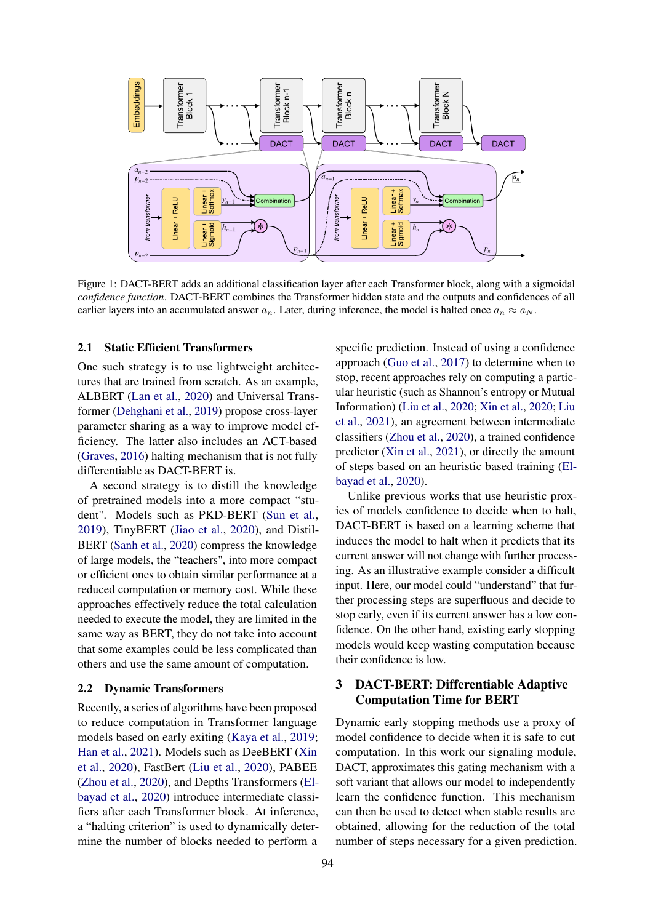<span id="page-1-0"></span>

Figure 1: DACT-BERT adds an additional classification layer after each Transformer block, along with a sigmoidal *confidence function*. DACT-BERT combines the Transformer hidden state and the outputs and confidences of all earlier layers into an accumulated answer  $a_n$ . Later, during inference, the model is halted once  $a_n \approx a_N$ .

### 2.1 Static Efficient Transformers

One such strategy is to use lightweight architectures that are trained from scratch. As an example, ALBERT [\(Lan et al.,](#page-5-9) [2020\)](#page-5-9) and Universal Transformer [\(Dehghani et al.,](#page-5-10) [2019\)](#page-5-10) propose cross-layer parameter sharing as a way to improve model efficiency. The latter also includes an ACT-based [\(Graves,](#page-5-7) [2016\)](#page-5-7) halting mechanism that is not fully differentiable as DACT-BERT is.

A second strategy is to distill the knowledge of pretrained models into a more compact "student". Models such as PKD-BERT [\(Sun et al.,](#page-5-11) [2019\)](#page-5-11), TinyBERT [\(Jiao et al.,](#page-5-12) [2020\)](#page-5-12), and Distil-BERT [\(Sanh et al.,](#page-5-13) [2020\)](#page-5-13) compress the knowledge of large models, the "teachers", into more compact or efficient ones to obtain similar performance at a reduced computation or memory cost. While these approaches effectively reduce the total calculation needed to execute the model, they are limited in the same way as BERT, they do not take into account that some examples could be less complicated than others and use the same amount of computation.

#### 2.2 Dynamic Transformers

Recently, a series of algorithms have been proposed to reduce computation in Transformer language models based on early exiting [\(Kaya et al.,](#page-5-14) [2019;](#page-5-14) [Han et al.,](#page-5-15) [2021\)](#page-5-15). Models such as DeeBERT [\(Xin](#page-6-0) [et al.,](#page-6-0) [2020\)](#page-6-0), FastBert [\(Liu et al.,](#page-5-6) [2020\)](#page-5-6), PABEE [\(Zhou et al.,](#page-6-1) [2020\)](#page-6-1), and Depths Transformers [\(El](#page-5-16)[bayad et al.,](#page-5-16) [2020\)](#page-5-16) introduce intermediate classifiers after each Transformer block. At inference, a "halting criterion" is used to dynamically determine the number of blocks needed to perform a

specific prediction. Instead of using a confidence approach [\(Guo et al.,](#page-5-17) [2017\)](#page-5-17) to determine when to stop, recent approaches rely on computing a particular heuristic (such as Shannon's entropy or Mutual Information) [\(Liu et al.,](#page-5-6) [2020;](#page-5-6) [Xin et al.,](#page-6-0) [2020;](#page-6-0) [Liu](#page-5-18) [et al.,](#page-5-18) [2021\)](#page-5-18), an agreement between intermediate classifiers [\(Zhou et al.,](#page-6-1) [2020\)](#page-6-1), a trained confidence predictor [\(Xin et al.,](#page-6-2) [2021\)](#page-6-2), or directly the amount of steps based on an heuristic based training [\(El](#page-5-16)[bayad et al.,](#page-5-16) [2020\)](#page-5-16).

Unlike previous works that use heuristic proxies of models confidence to decide when to halt, DACT-BERT is based on a learning scheme that induces the model to halt when it predicts that its current answer will not change with further processing. As an illustrative example consider a difficult input. Here, our model could "understand" that further processing steps are superfluous and decide to stop early, even if its current answer has a low confidence. On the other hand, existing early stopping models would keep wasting computation because their confidence is low.

# 3 DACT-BERT: Differentiable Adaptive Computation Time for BERT

Dynamic early stopping methods use a proxy of model confidence to decide when it is safe to cut computation. In this work our signaling module, DACT, approximates this gating mechanism with a soft variant that allows our model to independently learn the confidence function. This mechanism can then be used to detect when stable results are obtained, allowing for the reduction of the total number of steps necessary for a given prediction.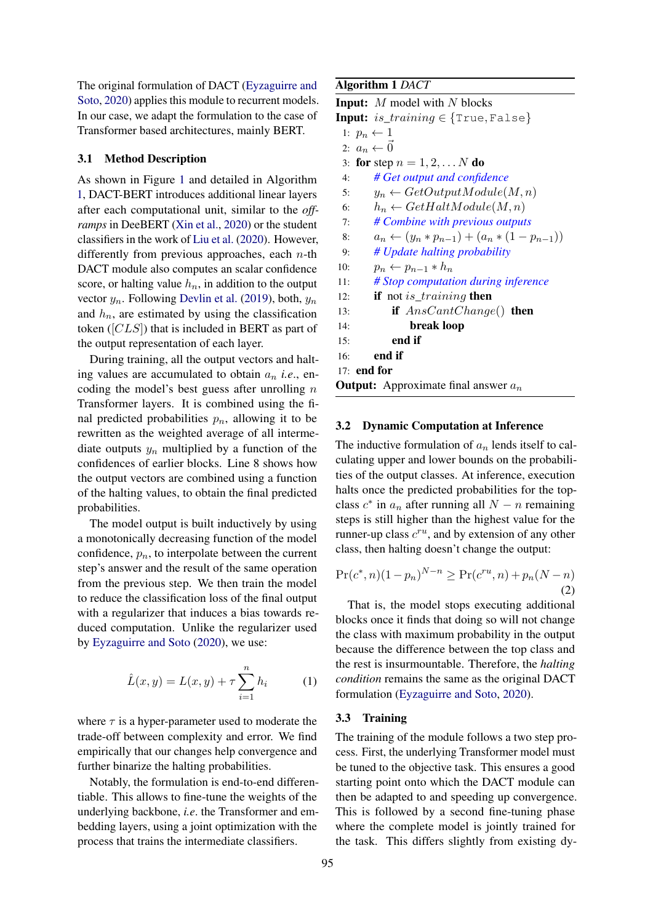The original formulation of DACT [\(Eyzaguirre and](#page-5-8) [Soto,](#page-5-8) [2020\)](#page-5-8) applies this module to recurrent models. In our case, we adapt the formulation to the case of Transformer based architectures, mainly BERT.

#### 3.1 Method Description

As shown in Figure [1](#page-1-0) and detailed in Algorithm [1,](#page-2-0) DACT-BERT introduces additional linear layers after each computational unit, similar to the *offramps* in DeeBERT [\(Xin et al.,](#page-6-0) [2020\)](#page-6-0) or the student classifiers in the work of [Liu et al.](#page-5-6) [\(2020\)](#page-5-6). However, differently from previous approaches, each  $n$ -th DACT module also computes an scalar confidence score, or halting value  $h_n$ , in addition to the output vector  $y_n$ . Following [Devlin et al.](#page-5-1) [\(2019\)](#page-5-1), both,  $y_n$ and  $h_n$ , are estimated by using the classification token ([CLS]) that is included in BERT as part of the output representation of each layer.

During training, all the output vectors and halting values are accumulated to obtain  $a_n$  *i.e.*, encoding the model's best guess after unrolling  $n$ Transformer layers. It is combined using the final predicted probabilities  $p_n$ , allowing it to be rewritten as the weighted average of all intermediate outputs  $y_n$  multiplied by a function of the confidences of earlier blocks. Line 8 shows how the output vectors are combined using a function of the halting values, to obtain the final predicted probabilities.

The model output is built inductively by using a monotonically decreasing function of the model confidence,  $p_n$ , to interpolate between the current step's answer and the result of the same operation from the previous step. We then train the model to reduce the classification loss of the final output with a regularizer that induces a bias towards reduced computation. Unlike the regularizer used by [Eyzaguirre and Soto](#page-5-8) [\(2020\)](#page-5-8), we use:

$$
\hat{L}(x, y) = L(x, y) + \tau \sum_{i=1}^{n} h_i
$$
 (1)

where  $\tau$  is a hyper-parameter used to moderate the trade-off between complexity and error. We find empirically that our changes help convergence and further binarize the halting probabilities.

Notably, the formulation is end-to-end differentiable. This allows to fine-tune the weights of the underlying backbone, *i.e*. the Transformer and embedding layers, using a joint optimization with the process that trains the intermediate classifiers.

# <span id="page-2-0"></span>Algorithm 1 *DACT*

```
Input: M model with N blocks
Input: is\_training \in \{True, False\}1: p_n \leftarrow 12: a_n \leftarrow 03: for step n = 1, 2, \ldots N do
 4: # Get output and confidence
 5: y_n \leftarrow GetOutputModule(M, n)6: h_n \leftarrow GetHaltModule(M, n)<br>7: # Combine with previous output
        7: # Combine with previous outputs
 8: a_n \leftarrow (y_n * p_{n-1}) + (a_n * (1 - p_{n-1}))9: # Update halting probability
10: p_n \leftarrow p_{n-1} * h_n11: # Stop computation during inference
12: if not is_training then
13: if AnsCantChange() then
14: break loop
15: end if
16: end if
17: end for
Output: Approximate final answer a_n
```
#### 3.2 Dynamic Computation at Inference

The inductive formulation of  $a_n$  lends itself to calculating upper and lower bounds on the probabilities of the output classes. At inference, execution halts once the predicted probabilities for the topclass  $c^*$  in  $a_n$  after running all  $N - n$  remaining steps is still higher than the highest value for the runner-up class  $c^{ru}$ , and by extension of any other class, then halting doesn't change the output:

$$
\Pr(c^*, n)(1 - p_n)^{N - n} \ge \Pr(c^{ru}, n) + p_n(N - n)
$$
\n(2)

<span id="page-2-1"></span>That is, the model stops executing additional blocks once it finds that doing so will not change the class with maximum probability in the output because the difference between the top class and the rest is insurmountable. Therefore, the *halting condition* remains the same as the original DACT formulation [\(Eyzaguirre and Soto,](#page-5-8) [2020\)](#page-5-8).

#### 3.3 Training

The training of the module follows a two step process. First, the underlying Transformer model must be tuned to the objective task. This ensures a good starting point onto which the DACT module can then be adapted to and speeding up convergence. This is followed by a second fine-tuning phase where the complete model is jointly trained for the task. This differs slightly from existing dy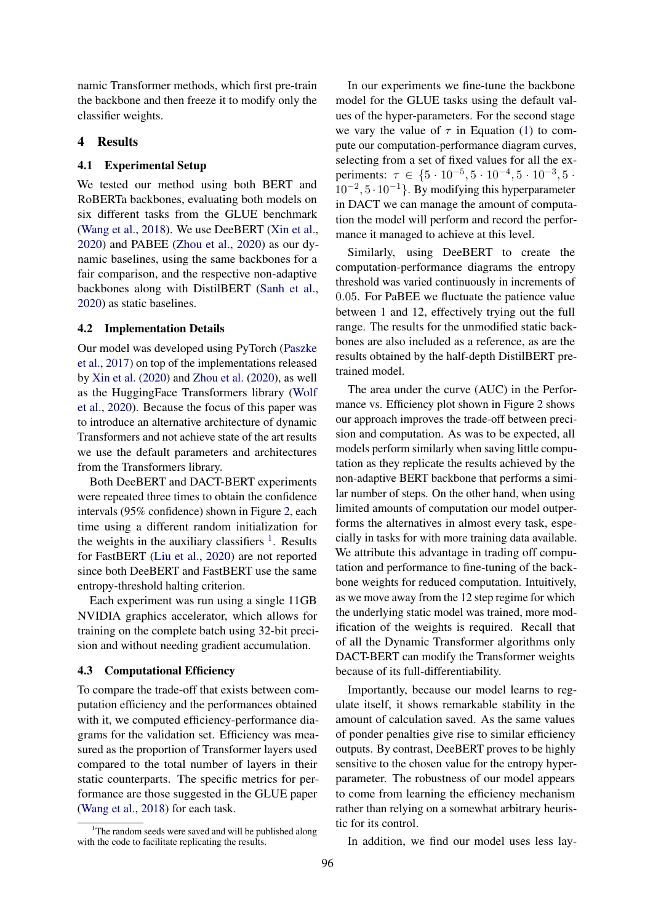namic Transformer methods, which first pre-train the backbone and then freeze it to modify only the classifier weights.

# 4 Results

#### 4.1 Experimental Setup

We tested our method using both BERT and RoBERTa backbones, evaluating both models on six different tasks from the GLUE benchmark [\(Wang et al.,](#page-5-19) [2018\)](#page-5-19). We use DeeBERT [\(Xin et al.,](#page-6-0) [2020\)](#page-6-0) and PABEE [\(Zhou et al.,](#page-6-1) [2020\)](#page-6-1) as our dynamic baselines, using the same backbones for a fair comparison, and the respective non-adaptive backbones along with DistilBERT [\(Sanh et al.,](#page-5-13) [2020\)](#page-5-13) as static baselines.

# 4.2 Implementation Details

Our model was developed using PyTorch [\(Paszke](#page-5-20) [et al.,](#page-5-20) [2017\)](#page-5-20) on top of the implementations released by [Xin et al.](#page-6-0) [\(2020\)](#page-6-0) and [Zhou et al.](#page-6-1) [\(2020\)](#page-6-1), as well as the HuggingFace Transformers library [\(Wolf](#page-6-3) [et al.,](#page-6-3) [2020\)](#page-6-3). Because the focus of this paper was to introduce an alternative architecture of dynamic Transformers and not achieve state of the art results we use the default parameters and architectures from the Transformers library.

Both DeeBERT and DACT-BERT experiments were repeated three times to obtain the confidence intervals (95% confidence) shown in Figure [2,](#page-4-0) each time using a different random initialization for the weights in the auxiliary classifiers  $<sup>1</sup>$  $<sup>1</sup>$  $<sup>1</sup>$ . Results</sup> for FastBERT [\(Liu et al.,](#page-5-6) [2020\)](#page-5-6) are not reported since both DeeBERT and FastBERT use the same entropy-threshold halting criterion.

Each experiment was run using a single 11GB NVIDIA graphics accelerator, which allows for training on the complete batch using 32-bit precision and without needing gradient accumulation.

#### 4.3 Computational Efficiency

To compare the trade-off that exists between computation efficiency and the performances obtained with it, we computed efficiency-performance diagrams for the validation set. Efficiency was measured as the proportion of Transformer layers used compared to the total number of layers in their static counterparts. The specific metrics for performance are those suggested in the GLUE paper [\(Wang et al.,](#page-5-19) [2018\)](#page-5-19) for each task.

In our experiments we fine-tune the backbone model for the GLUE tasks using the default values of the hyper-parameters. For the second stage we vary the value of  $\tau$  in Equation [\(1\)](#page-2-1) to compute our computation-performance diagram curves, selecting from a set of fixed values for all the experiments:  $\tau \in \{5 \cdot 10^{-5}, 5 \cdot 10^{-4}, 5 \cdot 10^{-3}, 5 \cdot$  $10^{-2}$ ,  $5 \cdot 10^{-1}$ . By modifying this hyperparameter in DACT we can manage the amount of computation the model will perform and record the performance it managed to achieve at this level.

Similarly, using DeeBERT to create the computation-performance diagrams the entropy threshold was varied continuously in increments of 0.05. For PaBEE we fluctuate the patience value between 1 and 12, effectively trying out the full range. The results for the unmodified static backbones are also included as a reference, as are the results obtained by the half-depth DistilBERT pretrained model.

The area under the curve (AUC) in the Performance vs. Efficiency plot shown in Figure [2](#page-4-0) shows our approach improves the trade-off between precision and computation. As was to be expected, all models perform similarly when saving little computation as they replicate the results achieved by the non-adaptive BERT backbone that performs a similar number of steps. On the other hand, when using limited amounts of computation our model outperforms the alternatives in almost every task, especially in tasks for with more training data available. We attribute this advantage in trading off computation and performance to fine-tuning of the backbone weights for reduced computation. Intuitively, as we move away from the 12 step regime for which the underlying static model was trained, more modification of the weights is required. Recall that of all the Dynamic Transformer algorithms only DACT-BERT can modify the Transformer weights because of its full-differentiability.

Importantly, because our model learns to regulate itself, it shows remarkable stability in the amount of calculation saved. As the same values of ponder penalties give rise to similar efficiency outputs. By contrast, DeeBERT proves to be highly sensitive to the chosen value for the entropy hyperparameter. The robustness of our model appears to come from learning the efficiency mechanism rather than relying on a somewhat arbitrary heuristic for its control.

In addition, we find our model uses less lay-

<span id="page-3-0"></span><sup>&</sup>lt;sup>1</sup>The random seeds were saved and will be published along with the code to facilitate replicating the results.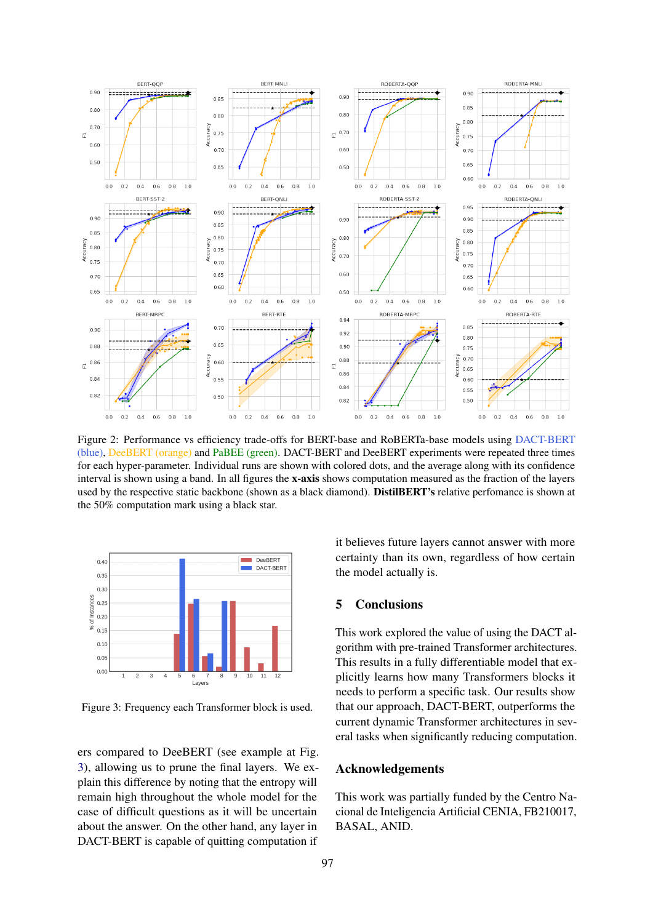<span id="page-4-0"></span>

Figure 2: Performance vs efficiency trade-offs for BERT-base and RoBERTa-base models using DACT-BERT (blue), DeeBERT (orange) and PaBEE (green). DACT-BERT and DeeBERT experiments were repeated three times for each hyper-parameter. Individual runs are shown with colored dots, and the average along with its confidence interval is shown using a band. In all figures the x-axis shows computation measured as the fraction of the layers used by the respective static backbone (shown as a black diamond). DistilBERT's relative perfomance is shown at the 50% computation mark using a black star.

<span id="page-4-1"></span>

Figure 3: Frequency each Transformer block is used.

ers compared to DeeBERT (see example at Fig. [3\)](#page-4-1), allowing us to prune the final layers. We explain this difference by noting that the entropy will remain high throughout the whole model for the case of difficult questions as it will be uncertain about the answer. On the other hand, any layer in DACT-BERT is capable of quitting computation if

it believes future layers cannot answer with more certainty than its own, regardless of how certain the model actually is.

# 5 Conclusions

This work explored the value of using the DACT algorithm with pre-trained Transformer architectures. This results in a fully differentiable model that explicitly learns how many Transformers blocks it needs to perform a specific task. Our results show that our approach, DACT-BERT, outperforms the current dynamic Transformer architectures in several tasks when significantly reducing computation.

### Acknowledgements

This work was partially funded by the Centro Nacional de Inteligencia Artificial CENIA, FB210017, BASAL, ANID.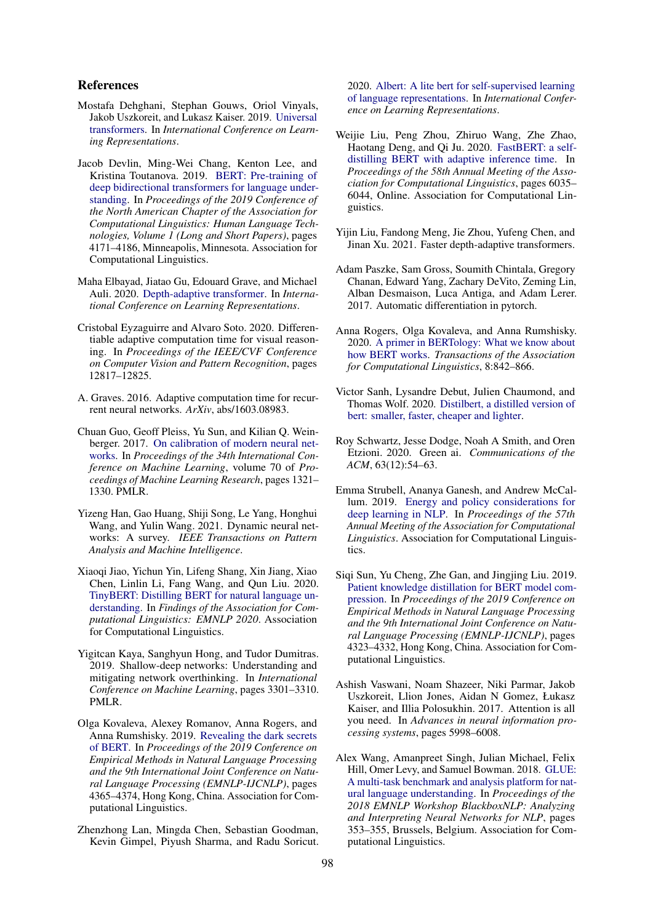# References

- <span id="page-5-10"></span>Mostafa Dehghani, Stephan Gouws, Oriol Vinyals, Jakob Uszkoreit, and Lukasz Kaiser. 2019. [Universal](https://openreview.net/forum?id=HyzdRiR9Y7) [transformers.](https://openreview.net/forum?id=HyzdRiR9Y7) In *International Conference on Learning Representations*.
- <span id="page-5-1"></span>Jacob Devlin, Ming-Wei Chang, Kenton Lee, and Kristina Toutanova. 2019. [BERT: Pre-training of](https://doi.org/10.18653/v1/N19-1423) [deep bidirectional transformers for language under](https://doi.org/10.18653/v1/N19-1423)[standing.](https://doi.org/10.18653/v1/N19-1423) In *Proceedings of the 2019 Conference of the North American Chapter of the Association for Computational Linguistics: Human Language Technologies, Volume 1 (Long and Short Papers)*, pages 4171–4186, Minneapolis, Minnesota. Association for Computational Linguistics.
- <span id="page-5-16"></span>Maha Elbayad, Jiatao Gu, Edouard Grave, and Michael Auli. 2020. [Depth-adaptive transformer.](https://openreview.net/forum?id=SJg7KhVKPH) In *International Conference on Learning Representations*.
- <span id="page-5-8"></span>Cristobal Eyzaguirre and Alvaro Soto. 2020. Differentiable adaptive computation time for visual reasoning. In *Proceedings of the IEEE/CVF Conference on Computer Vision and Pattern Recognition*, pages 12817–12825.
- <span id="page-5-7"></span>A. Graves. 2016. Adaptive computation time for recurrent neural networks. *ArXiv*, abs/1603.08983.
- <span id="page-5-17"></span>Chuan Guo, Geoff Pleiss, Yu Sun, and Kilian Q. Weinberger. 2017. [On calibration of modern neural net](https://proceedings.mlr.press/v70/guo17a.html)[works.](https://proceedings.mlr.press/v70/guo17a.html) In *Proceedings of the 34th International Conference on Machine Learning*, volume 70 of *Proceedings of Machine Learning Research*, pages 1321– 1330. PMLR.
- <span id="page-5-15"></span>Yizeng Han, Gao Huang, Shiji Song, Le Yang, Honghui Wang, and Yulin Wang. 2021. Dynamic neural networks: A survey. *IEEE Transactions on Pattern Analysis and Machine Intelligence*.
- <span id="page-5-12"></span>Xiaoqi Jiao, Yichun Yin, Lifeng Shang, Xin Jiang, Xiao Chen, Linlin Li, Fang Wang, and Qun Liu. 2020. [TinyBERT: Distilling BERT for natural language un](https://doi.org/10.18653/v1/2020.findings-emnlp.372)[derstanding.](https://doi.org/10.18653/v1/2020.findings-emnlp.372) In *Findings of the Association for Computational Linguistics: EMNLP 2020*. Association for Computational Linguistics.
- <span id="page-5-14"></span>Yigitcan Kaya, Sanghyun Hong, and Tudor Dumitras. 2019. Shallow-deep networks: Understanding and mitigating network overthinking. In *International Conference on Machine Learning*, pages 3301–3310. PMLR.
- <span id="page-5-4"></span>Olga Kovaleva, Alexey Romanov, Anna Rogers, and Anna Rumshisky. 2019. [Revealing the dark secrets](https://doi.org/10.18653/v1/D19-1445) [of BERT.](https://doi.org/10.18653/v1/D19-1445) In *Proceedings of the 2019 Conference on Empirical Methods in Natural Language Processing and the 9th International Joint Conference on Natural Language Processing (EMNLP-IJCNLP)*, pages 4365–4374, Hong Kong, China. Association for Computational Linguistics.
- <span id="page-5-9"></span>Zhenzhong Lan, Mingda Chen, Sebastian Goodman, Kevin Gimpel, Piyush Sharma, and Radu Soricut.

2020. [Albert: A lite bert for self-supervised learning](https://openreview.net/forum?id=H1eA7AEtvS) [of language representations.](https://openreview.net/forum?id=H1eA7AEtvS) In *International Conference on Learning Representations*.

- <span id="page-5-6"></span>Weijie Liu, Peng Zhou, Zhiruo Wang, Zhe Zhao, Haotang Deng, and Qi Ju. 2020. [FastBERT: a self](https://doi.org/10.18653/v1/2020.acl-main.537)[distilling BERT with adaptive inference time.](https://doi.org/10.18653/v1/2020.acl-main.537) In *Proceedings of the 58th Annual Meeting of the Association for Computational Linguistics*, pages 6035– 6044, Online. Association for Computational Linguistics.
- <span id="page-5-18"></span>Yijin Liu, Fandong Meng, Jie Zhou, Yufeng Chen, and Jinan Xu. 2021. Faster depth-adaptive transformers.
- <span id="page-5-20"></span>Adam Paszke, Sam Gross, Soumith Chintala, Gregory Chanan, Edward Yang, Zachary DeVito, Zeming Lin, Alban Desmaison, Luca Antiga, and Adam Lerer. 2017. Automatic differentiation in pytorch.
- <span id="page-5-5"></span>Anna Rogers, Olga Kovaleva, and Anna Rumshisky. 2020. [A primer in BERTology: What we know about](https://doi.org/10.1162/tacl_a_00349) [how BERT works.](https://doi.org/10.1162/tacl_a_00349) *Transactions of the Association for Computational Linguistics*, 8:842–866.
- <span id="page-5-13"></span>Victor Sanh, Lysandre Debut, Julien Chaumond, and Thomas Wolf. 2020. [Distilbert, a distilled version of](http://arxiv.org/abs/1910.01108) [bert: smaller, faster, cheaper and lighter.](http://arxiv.org/abs/1910.01108)
- <span id="page-5-2"></span>Roy Schwartz, Jesse Dodge, Noah A Smith, and Oren Etzioni. 2020. Green ai. *Communications of the ACM*, 63(12):54–63.
- <span id="page-5-3"></span>Emma Strubell, Ananya Ganesh, and Andrew McCallum. 2019. [Energy and policy considerations for](https://doi.org/10.18653/v1/p19-1355) [deep learning in NLP.](https://doi.org/10.18653/v1/p19-1355) In *Proceedings of the 57th Annual Meeting of the Association for Computational Linguistics*. Association for Computational Linguistics.
- <span id="page-5-11"></span>Siqi Sun, Yu Cheng, Zhe Gan, and Jingjing Liu. 2019. [Patient knowledge distillation for BERT model com](https://doi.org/10.18653/v1/D19-1441)[pression.](https://doi.org/10.18653/v1/D19-1441) In *Proceedings of the 2019 Conference on Empirical Methods in Natural Language Processing and the 9th International Joint Conference on Natural Language Processing (EMNLP-IJCNLP)*, pages 4323–4332, Hong Kong, China. Association for Computational Linguistics.
- <span id="page-5-0"></span>Ashish Vaswani, Noam Shazeer, Niki Parmar, Jakob Uszkoreit, Llion Jones, Aidan N Gomez, Łukasz Kaiser, and Illia Polosukhin. 2017. Attention is all you need. In *Advances in neural information processing systems*, pages 5998–6008.
- <span id="page-5-19"></span>Alex Wang, Amanpreet Singh, Julian Michael, Felix Hill, Omer Levy, and Samuel Bowman. 2018. [GLUE:](https://doi.org/10.18653/v1/W18-5446) [A multi-task benchmark and analysis platform for nat](https://doi.org/10.18653/v1/W18-5446)[ural language understanding.](https://doi.org/10.18653/v1/W18-5446) In *Proceedings of the 2018 EMNLP Workshop BlackboxNLP: Analyzing and Interpreting Neural Networks for NLP*, pages 353–355, Brussels, Belgium. Association for Computational Linguistics.